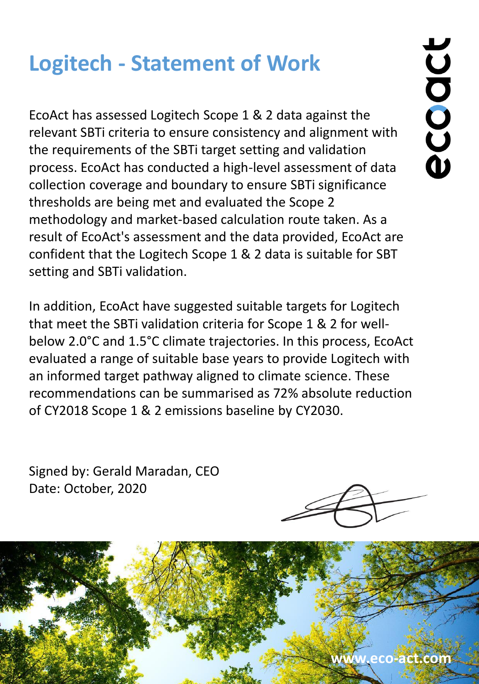## **Logitech - Statement of Work**

EcoAct has assessed Logitech Scope 1 & 2 data against the relevant SBTi criteria to ensure consistency and alignment with the requirements of the SBTi target setting and validation process. EcoAct has conducted a high-level assessment of data collection coverage and boundary to ensure SBTi significance thresholds are being met and evaluated the Scope 2 methodology and market-based calculation route taken. As a result of EcoAct's assessment and the data provided, EcoAct are confident that the Logitech Scope 1 & 2 data is suitable for SBT setting and SBTi validation.

In addition, EcoAct have suggested suitable targets for Logitech that meet the SBTi validation criteria for Scope 1 & 2 for wellbelow 2.0°C and 1.5°C climate trajectories. In this process, EcoAct evaluated a range of suitable base years to provide Logitech with an informed target pathway aligned to climate science. These recommendations can be summarised as 72% absolute reduction of CY2018 Scope 1 & 2 emissions baseline by CY2030.

Signed by: Gerald Maradan, CEO Date: October, 2020



## **www.eco-act.com**